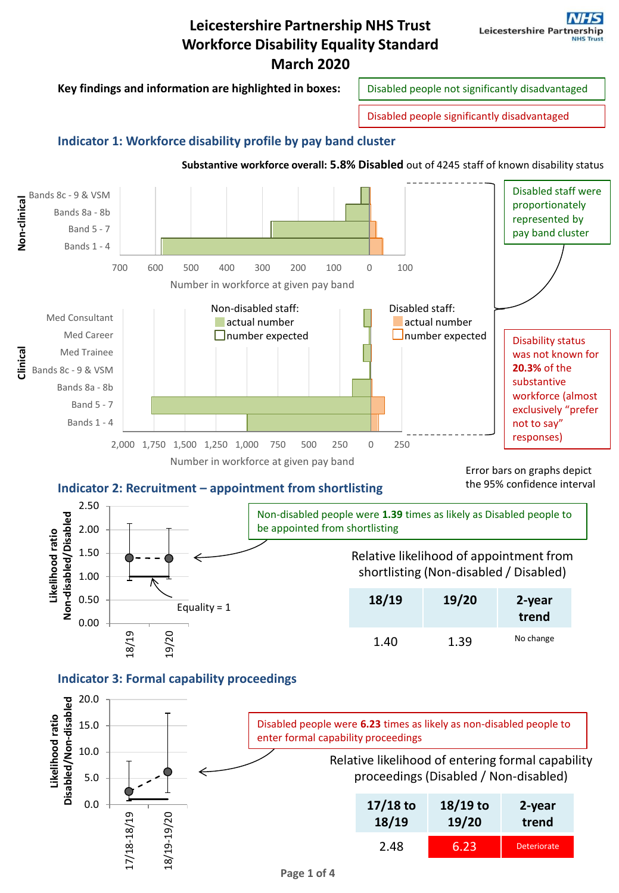

proceedings (Disabled / Non-disabled)

| $17/18$ to | $18/19$ to | 2-year             |
|------------|------------|--------------------|
| 18/19      | 19/20      | trend              |
| 2.48       | 6.23       | <b>Deteriorate</b> |

0.0

17/18-18/19

18/19-19/20

5.0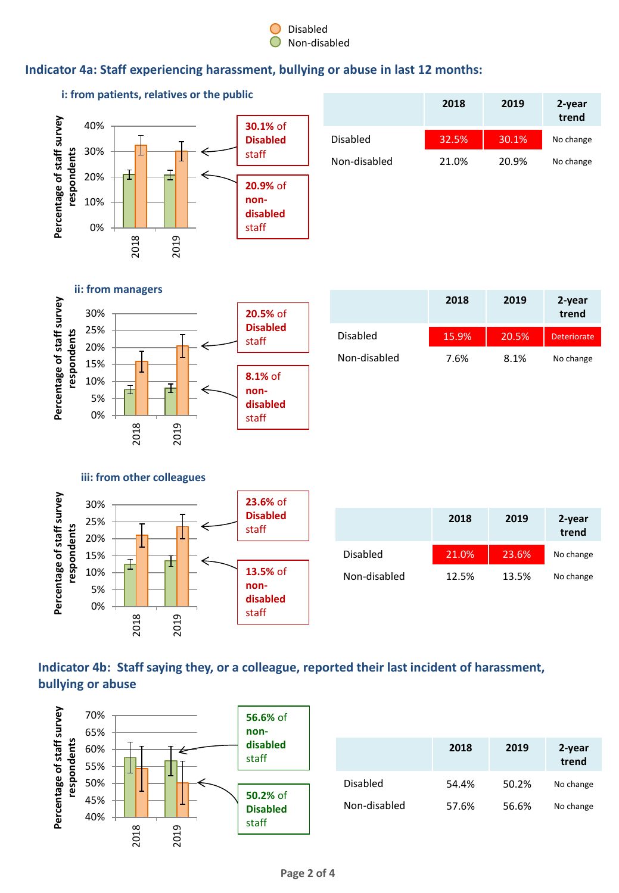#### Disabled Non-disabled

## **Indicator 4a: Staff experiencing harassment, bullying or abuse in last 12 months:**



# **Indicator 4b: Staff saying they, or a colleague, reported their last incident of harassment, bullying or abuse**

**13.5%** of **nondisabled**  staff



2019

0% 5% 10%

2018

|                 | 2018  | 2019  | 2-year<br>trend |
|-----------------|-------|-------|-----------------|
| <b>Disabled</b> | 54.4% | 50.2% | No change       |
| Non-disabled    | 57.6% | 56.6% | No change       |

Non-disabled 12.5% 13.5% No change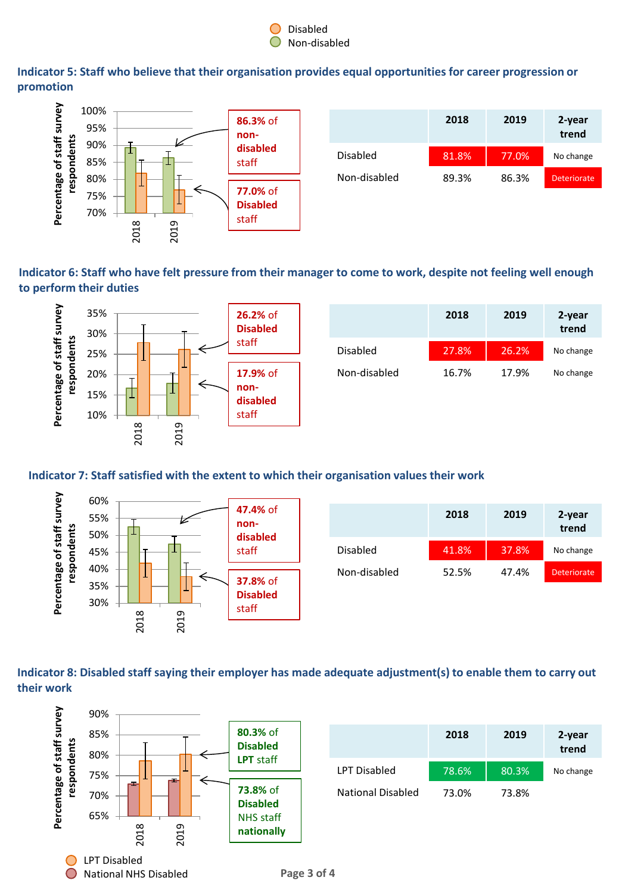

**Indicator 5: Staff who believe that their organisation provides equal opportunities for career progression or promotion**



|              | 2018  | 2019  | 2-year<br>trend |
|--------------|-------|-------|-----------------|
| Disabled     | 81.8% | 77.0% | No change       |
| Non-disabled | 89.3% | 86.3% | Deteriorate     |

**Indicator 6: Staff who have felt pressure from their manager to come to work, despite not feeling well enough to perform their duties**



|                 | 2018  | 2019  | 2-year<br>trend |
|-----------------|-------|-------|-----------------|
| <b>Disabled</b> | 27.8% | 26.2% | No change       |
| Non-disabled    | 16.7% | 17.9% | No change       |

#### **Indicator 7: Staff satisfied with the extent to which their organisation values their work**



### **Indicator 8: Disabled staff saying their employer has made adequate adjustment(s) to enable them to carry out their work**



|                     | 2018  | 2019  | 2-year<br>trend |
|---------------------|-------|-------|-----------------|
| <b>LPT Disabled</b> | 78.6% | 80.3% | No change       |
| National Disabled   | 73.0% | 73.8% |                 |